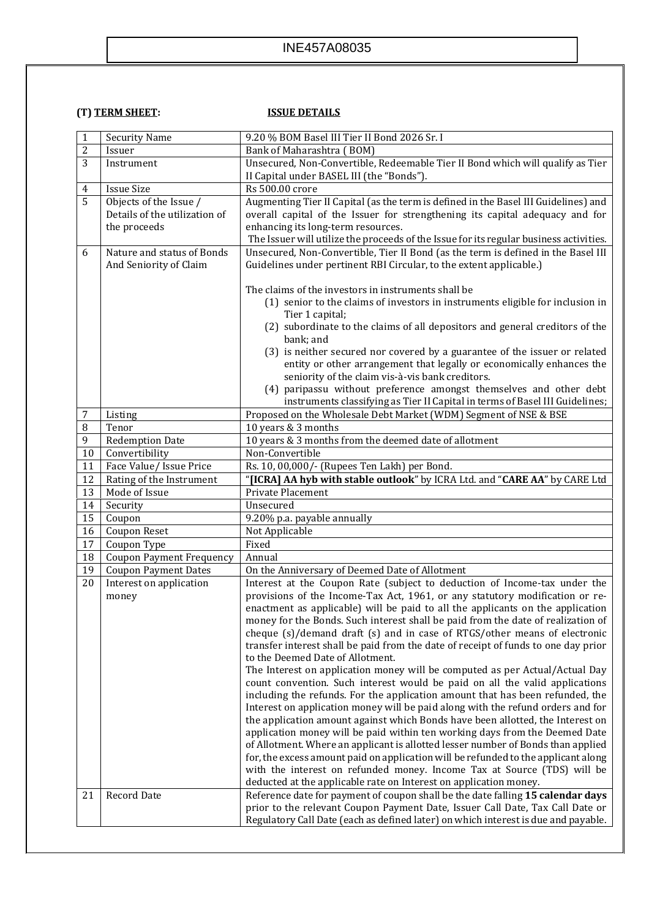## INE457A08035

## **(T) TERM SHEET: ISSUE DETAILS**

| $\mathbf{1}$   | <b>Security Name</b>            | 9.20 % BOM Basel III Tier II Bond 2026 Sr. I                                                                                                                        |
|----------------|---------------------------------|---------------------------------------------------------------------------------------------------------------------------------------------------------------------|
| $\overline{c}$ | Issuer                          | Bank of Maharashtra (BOM)                                                                                                                                           |
| 3              | Instrument                      | Unsecured, Non-Convertible, Redeemable Tier II Bond which will qualify as Tier                                                                                      |
|                |                                 | II Capital under BASEL III (the "Bonds").                                                                                                                           |
| 4              | <b>Issue Size</b>               | Rs 500.00 crore                                                                                                                                                     |
| $\overline{5}$ | Objects of the Issue /          | Augmenting Tier II Capital (as the term is defined in the Basel III Guidelines) and                                                                                 |
|                | Details of the utilization of   | overall capital of the Issuer for strengthening its capital adequacy and for                                                                                        |
|                | the proceeds                    | enhancing its long-term resources.                                                                                                                                  |
|                |                                 | The Issuer will utilize the proceeds of the Issue for its regular business activities.                                                                              |
| 6              | Nature and status of Bonds      | Unsecured, Non-Convertible, Tier II Bond (as the term is defined in the Basel III                                                                                   |
|                | And Seniority of Claim          | Guidelines under pertinent RBI Circular, to the extent applicable.)                                                                                                 |
|                |                                 |                                                                                                                                                                     |
|                |                                 | The claims of the investors in instruments shall be                                                                                                                 |
|                |                                 | (1) senior to the claims of investors in instruments eligible for inclusion in                                                                                      |
|                |                                 | Tier 1 capital;                                                                                                                                                     |
|                |                                 | (2) subordinate to the claims of all depositors and general creditors of the                                                                                        |
|                |                                 | bank; and                                                                                                                                                           |
|                |                                 | (3) is neither secured nor covered by a guarantee of the issuer or related                                                                                          |
|                |                                 | entity or other arrangement that legally or economically enhances the<br>seniority of the claim vis-à-vis bank creditors.                                           |
|                |                                 | (4) paripassu without preference amongst themselves and other debt                                                                                                  |
|                |                                 | instruments classifying as Tier II Capital in terms of Basel III Guidelines;                                                                                        |
| 7              | Listing                         | Proposed on the Wholesale Debt Market (WDM) Segment of NSE & BSE                                                                                                    |
| 8              | Tenor                           | 10 years & 3 months                                                                                                                                                 |
| 9              | <b>Redemption Date</b>          | 10 years & 3 months from the deemed date of allotment                                                                                                               |
| $10\,$         | Convertibility                  | Non-Convertible                                                                                                                                                     |
| 11             | Face Value/ Issue Price         | Rs. 10, 00,000/- (Rupees Ten Lakh) per Bond.                                                                                                                        |
| 12             | Rating of the Instrument        | "[ICRA] AA hyb with stable outlook" by ICRA Ltd. and "CARE AA" by CARE Ltd                                                                                          |
| 13             | Mode of Issue                   | Private Placement                                                                                                                                                   |
| 14             | Security                        | Unsecured                                                                                                                                                           |
| 15             | Coupon                          | 9.20% p.a. payable annually                                                                                                                                         |
| 16             | Coupon Reset                    | Not Applicable                                                                                                                                                      |
| 17             | Coupon Type                     | Fixed                                                                                                                                                               |
| 18             | <b>Coupon Payment Frequency</b> | Annual                                                                                                                                                              |
| 19             | <b>Coupon Payment Dates</b>     | On the Anniversary of Deemed Date of Allotment                                                                                                                      |
| 20             | Interest on application         | Interest at the Coupon Rate (subject to deduction of Income-tax under the                                                                                           |
|                | money                           | provisions of the Income-Tax Act, 1961, or any statutory modification or re-                                                                                        |
|                |                                 | enactment as applicable) will be paid to all the applicants on the application                                                                                      |
|                |                                 | money for the Bonds. Such interest shall be paid from the date of realization of                                                                                    |
|                |                                 |                                                                                                                                                                     |
|                |                                 | cheque (s)/demand draft (s) and in case of RTGS/other means of electronic                                                                                           |
|                |                                 | transfer interest shall be paid from the date of receipt of funds to one day prior                                                                                  |
|                |                                 | to the Deemed Date of Allotment.                                                                                                                                    |
|                |                                 | The Interest on application money will be computed as per Actual/Actual Day                                                                                         |
|                |                                 | count convention. Such interest would be paid on all the valid applications                                                                                         |
|                |                                 | including the refunds. For the application amount that has been refunded, the                                                                                       |
|                |                                 | Interest on application money will be paid along with the refund orders and for                                                                                     |
|                |                                 | the application amount against which Bonds have been allotted, the Interest on                                                                                      |
|                |                                 | application money will be paid within ten working days from the Deemed Date                                                                                         |
|                |                                 | of Allotment. Where an applicant is allotted lesser number of Bonds than applied                                                                                    |
|                |                                 | for, the excess amount paid on application will be refunded to the applicant along                                                                                  |
|                |                                 | with the interest on refunded money. Income Tax at Source (TDS) will be                                                                                             |
|                |                                 | deducted at the applicable rate on Interest on application money.                                                                                                   |
| 21             | Record Date                     | Reference date for payment of coupon shall be the date falling 15 calendar days                                                                                     |
|                |                                 |                                                                                                                                                                     |
|                |                                 | prior to the relevant Coupon Payment Date, Issuer Call Date, Tax Call Date or<br>Regulatory Call Date (each as defined later) on which interest is due and payable. |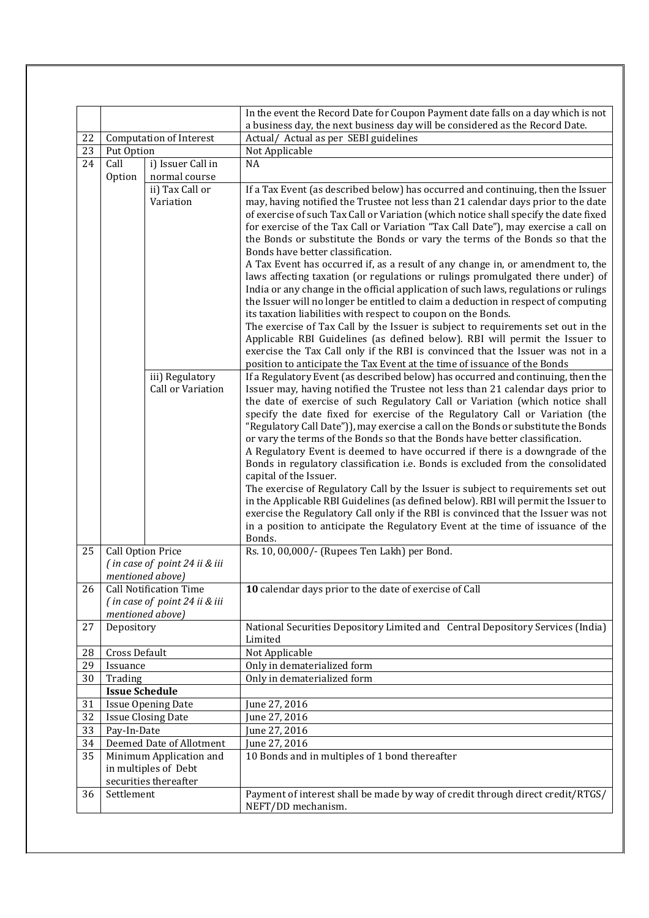|          |                                                   |                               | In the event the Record Date for Coupon Payment date falls on a day which is not<br>a business day, the next business day will be considered as the Record Date. |
|----------|---------------------------------------------------|-------------------------------|------------------------------------------------------------------------------------------------------------------------------------------------------------------|
| 22       | <b>Computation of Interest</b>                    |                               | Actual/ Actual as per SEBI guidelines                                                                                                                            |
| 23       | Put Option                                        |                               | Not Applicable                                                                                                                                                   |
| 24       | Call                                              | i) Issuer Call in             | <b>NA</b>                                                                                                                                                        |
|          | Option                                            | normal course                 |                                                                                                                                                                  |
|          |                                                   | ii) Tax Call or               | If a Tax Event (as described below) has occurred and continuing, then the Issuer                                                                                 |
|          |                                                   | Variation                     | may, having notified the Trustee not less than 21 calendar days prior to the date                                                                                |
|          |                                                   |                               | of exercise of such Tax Call or Variation (which notice shall specify the date fixed                                                                             |
|          |                                                   |                               | for exercise of the Tax Call or Variation "Tax Call Date"), may exercise a call on                                                                               |
|          |                                                   |                               | the Bonds or substitute the Bonds or vary the terms of the Bonds so that the                                                                                     |
|          |                                                   |                               | Bonds have better classification.<br>A Tax Event has occurred if, as a result of any change in, or amendment to, the                                             |
|          |                                                   |                               | laws affecting taxation (or regulations or rulings promulgated there under) of                                                                                   |
|          |                                                   |                               | India or any change in the official application of such laws, regulations or rulings                                                                             |
|          |                                                   |                               | the Issuer will no longer be entitled to claim a deduction in respect of computing                                                                               |
|          |                                                   |                               | its taxation liabilities with respect to coupon on the Bonds.                                                                                                    |
|          |                                                   |                               | The exercise of Tax Call by the Issuer is subject to requirements set out in the                                                                                 |
|          |                                                   |                               | Applicable RBI Guidelines (as defined below). RBI will permit the Issuer to                                                                                      |
|          |                                                   |                               | exercise the Tax Call only if the RBI is convinced that the Issuer was not in a                                                                                  |
|          |                                                   | iii) Regulatory               | position to anticipate the Tax Event at the time of issuance of the Bonds<br>If a Regulatory Event (as described below) has occurred and continuing, then the    |
|          |                                                   | Call or Variation             | Issuer may, having notified the Trustee not less than 21 calendar days prior to                                                                                  |
|          |                                                   |                               | the date of exercise of such Regulatory Call or Variation (which notice shall                                                                                    |
|          |                                                   |                               | specify the date fixed for exercise of the Regulatory Call or Variation (the                                                                                     |
|          |                                                   |                               | "Regulatory Call Date")), may exercise a call on the Bonds or substitute the Bonds                                                                               |
|          |                                                   |                               | or vary the terms of the Bonds so that the Bonds have better classification.                                                                                     |
|          |                                                   |                               | A Regulatory Event is deemed to have occurred if there is a downgrade of the<br>Bonds in regulatory classification i.e. Bonds is excluded from the consolidated  |
|          |                                                   |                               | capital of the Issuer.                                                                                                                                           |
|          |                                                   |                               | The exercise of Regulatory Call by the Issuer is subject to requirements set out                                                                                 |
|          |                                                   |                               | in the Applicable RBI Guidelines (as defined below). RBI will permit the Issuer to                                                                               |
|          |                                                   |                               | exercise the Regulatory Call only if the RBI is convinced that the Issuer was not                                                                                |
|          |                                                   |                               | in a position to anticipate the Regulatory Event at the time of issuance of the                                                                                  |
|          |                                                   |                               | Bonds.                                                                                                                                                           |
| 25       | <b>Call Option Price</b>                          |                               | Rs. 10, 00,000/- (Rupees Ten Lakh) per Bond.                                                                                                                     |
|          | (in case of point 24 ii & iii<br>mentioned above) |                               |                                                                                                                                                                  |
| 26       |                                                   | Call Notification Time        | 10 calendar days prior to the date of exercise of Call                                                                                                           |
|          |                                                   | (in case of point 24 ii & iii |                                                                                                                                                                  |
|          |                                                   | mentioned above)              |                                                                                                                                                                  |
| 27       | Depository                                        |                               | National Securities Depository Limited and Central Depository Services (India)                                                                                   |
|          | Cross Default                                     |                               | Limited                                                                                                                                                          |
| 28<br>29 | Issuance                                          |                               | Not Applicable<br>Only in dematerialized form                                                                                                                    |
| 30       | Trading                                           |                               | Only in dematerialized form                                                                                                                                      |
|          | <b>Issue Schedule</b>                             |                               |                                                                                                                                                                  |
| 31       | <b>Issue Opening Date</b>                         |                               | June 27, 2016                                                                                                                                                    |
| 32       |                                                   | <b>Issue Closing Date</b>     | June 27, 2016                                                                                                                                                    |
| 33       | Pay-In-Date                                       |                               | June 27, 2016                                                                                                                                                    |
| 34       |                                                   | Deemed Date of Allotment      | June 27, 2016                                                                                                                                                    |
| 35       |                                                   | Minimum Application and       | 10 Bonds and in multiples of 1 bond thereafter                                                                                                                   |
|          |                                                   | in multiples of Debt          |                                                                                                                                                                  |
| 36       | securities thereafter<br>Settlement               |                               | Payment of interest shall be made by way of credit through direct credit/RTGS/                                                                                   |
|          |                                                   |                               | NEFT/DD mechanism.                                                                                                                                               |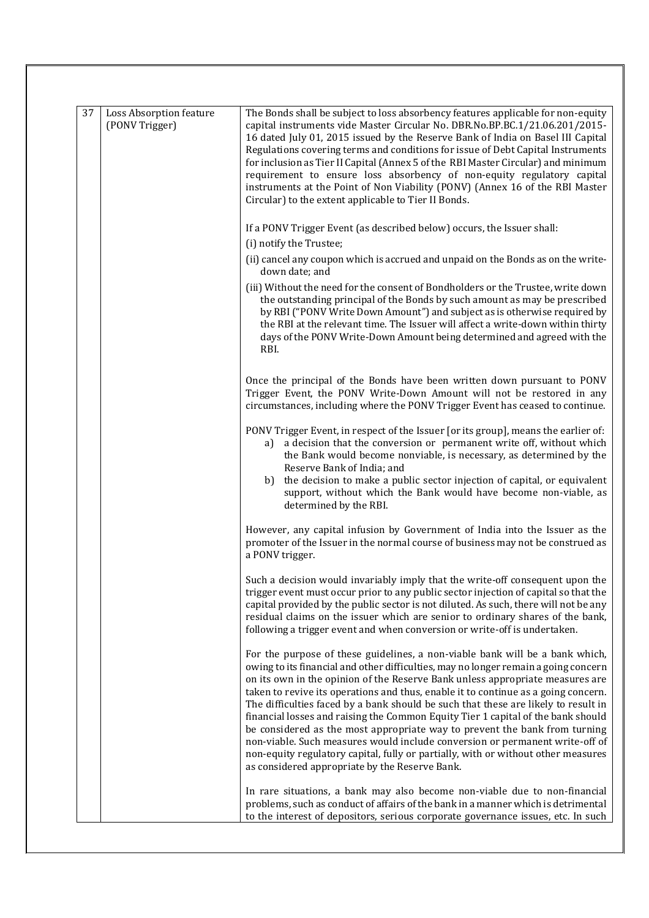| 37 | Loss Absorption feature | The Bonds shall be subject to loss absorbency features applicable for non-equity                                                                                                                                                                                                                                                                                                                                                                                                                                                                                                                                                                                                                                                                                                                                          |
|----|-------------------------|---------------------------------------------------------------------------------------------------------------------------------------------------------------------------------------------------------------------------------------------------------------------------------------------------------------------------------------------------------------------------------------------------------------------------------------------------------------------------------------------------------------------------------------------------------------------------------------------------------------------------------------------------------------------------------------------------------------------------------------------------------------------------------------------------------------------------|
|    | (PONV Trigger)          | capital instruments vide Master Circular No. DBR.No.BP.BC.1/21.06.201/2015-<br>16 dated July 01, 2015 issued by the Reserve Bank of India on Basel III Capital<br>Regulations covering terms and conditions for issue of Debt Capital Instruments<br>for inclusion as Tier II Capital (Annex 5 of the RBI Master Circular) and minimum<br>requirement to ensure loss absorbency of non-equity regulatory capital<br>instruments at the Point of Non Viability (PONV) (Annex 16 of the RBI Master<br>Circular) to the extent applicable to Tier II Bonds.                                                                                                                                                                                                                                                                  |
|    |                         | If a PONV Trigger Event (as described below) occurs, the Issuer shall:<br>(i) notify the Trustee;                                                                                                                                                                                                                                                                                                                                                                                                                                                                                                                                                                                                                                                                                                                         |
|    |                         | (ii) cancel any coupon which is accrued and unpaid on the Bonds as on the write-<br>down date; and                                                                                                                                                                                                                                                                                                                                                                                                                                                                                                                                                                                                                                                                                                                        |
|    |                         | (iii) Without the need for the consent of Bondholders or the Trustee, write down<br>the outstanding principal of the Bonds by such amount as may be prescribed<br>by RBI ("PONV Write Down Amount") and subject as is otherwise required by<br>the RBI at the relevant time. The Issuer will affect a write-down within thirty<br>days of the PONV Write-Down Amount being determined and agreed with the<br>RBI.                                                                                                                                                                                                                                                                                                                                                                                                         |
|    |                         | Once the principal of the Bonds have been written down pursuant to PONV<br>Trigger Event, the PONV Write-Down Amount will not be restored in any<br>circumstances, including where the PONV Trigger Event has ceased to continue.                                                                                                                                                                                                                                                                                                                                                                                                                                                                                                                                                                                         |
|    |                         | PONV Trigger Event, in respect of the Issuer [or its group], means the earlier of:<br>a) a decision that the conversion or permanent write off, without which<br>the Bank would become nonviable, is necessary, as determined by the<br>Reserve Bank of India; and<br>the decision to make a public sector injection of capital, or equivalent<br>b)<br>support, without which the Bank would have become non-viable, as<br>determined by the RBI.                                                                                                                                                                                                                                                                                                                                                                        |
|    |                         | However, any capital infusion by Government of India into the Issuer as the<br>promoter of the Issuer in the normal course of business may not be construed as<br>a PONV trigger.                                                                                                                                                                                                                                                                                                                                                                                                                                                                                                                                                                                                                                         |
|    |                         | Such a decision would invariably imply that the write-off consequent upon the<br>trigger event must occur prior to any public sector injection of capital so that the<br>capital provided by the public sector is not diluted. As such, there will not be any<br>residual claims on the issuer which are senior to ordinary shares of the bank,<br>following a trigger event and when conversion or write-off is undertaken.                                                                                                                                                                                                                                                                                                                                                                                              |
|    |                         | For the purpose of these guidelines, a non-viable bank will be a bank which,<br>owing to its financial and other difficulties, may no longer remain a going concern<br>on its own in the opinion of the Reserve Bank unless appropriate measures are<br>taken to revive its operations and thus, enable it to continue as a going concern.<br>The difficulties faced by a bank should be such that these are likely to result in<br>financial losses and raising the Common Equity Tier 1 capital of the bank should<br>be considered as the most appropriate way to prevent the bank from turning<br>non-viable. Such measures would include conversion or permanent write-off of<br>non-equity regulatory capital, fully or partially, with or without other measures<br>as considered appropriate by the Reserve Bank. |
|    |                         | In rare situations, a bank may also become non-viable due to non-financial<br>problems, such as conduct of affairs of the bank in a manner which is detrimental<br>to the interest of depositors, serious corporate governance issues, etc. In such                                                                                                                                                                                                                                                                                                                                                                                                                                                                                                                                                                       |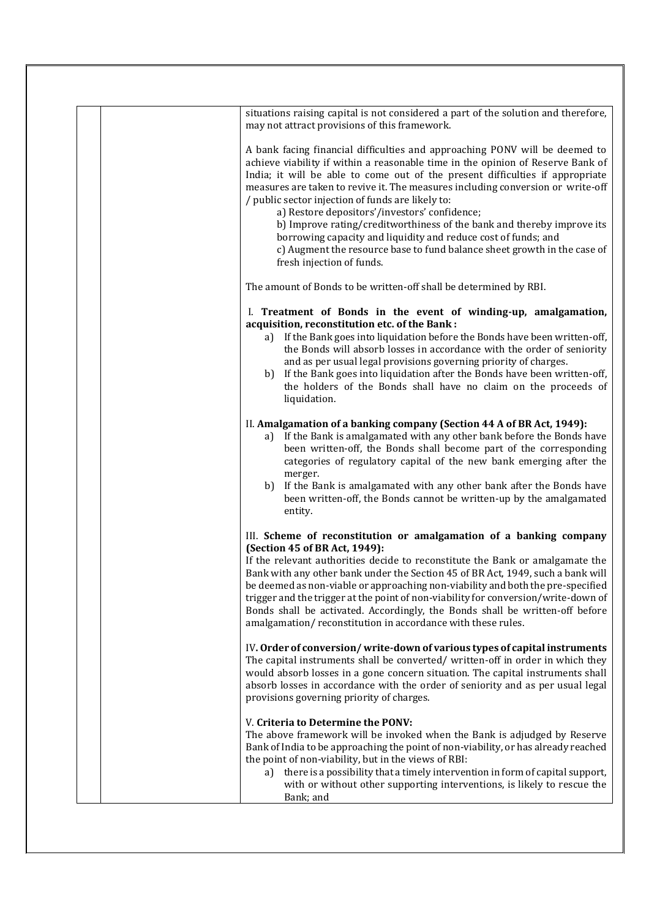| situations raising capital is not considered a part of the solution and therefore,<br>may not attract provisions of this framework.                                                                                                                                                                                                                                                                                                                                                                                                                                                                                                                                                           |
|-----------------------------------------------------------------------------------------------------------------------------------------------------------------------------------------------------------------------------------------------------------------------------------------------------------------------------------------------------------------------------------------------------------------------------------------------------------------------------------------------------------------------------------------------------------------------------------------------------------------------------------------------------------------------------------------------|
| A bank facing financial difficulties and approaching PONV will be deemed to<br>achieve viability if within a reasonable time in the opinion of Reserve Bank of<br>India; it will be able to come out of the present difficulties if appropriate<br>measures are taken to revive it. The measures including conversion or write-off<br>/ public sector injection of funds are likely to:<br>a) Restore depositors'/investors' confidence;<br>b) Improve rating/creditworthiness of the bank and thereby improve its<br>borrowing capacity and liquidity and reduce cost of funds; and<br>c) Augment the resource base to fund balance sheet growth in the case of<br>fresh injection of funds. |
| The amount of Bonds to be written-off shall be determined by RBI.                                                                                                                                                                                                                                                                                                                                                                                                                                                                                                                                                                                                                             |
| I. Treatment of Bonds in the event of winding-up, amalgamation,<br>acquisition, reconstitution etc. of the Bank:<br>a) If the Bank goes into liquidation before the Bonds have been written-off,<br>the Bonds will absorb losses in accordance with the order of seniority<br>and as per usual legal provisions governing priority of charges.<br>b) If the Bank goes into liquidation after the Bonds have been written-off,<br>the holders of the Bonds shall have no claim on the proceeds of<br>liquidation.                                                                                                                                                                              |
| II. Amalgamation of a banking company (Section 44 A of BR Act, 1949):<br>a) If the Bank is amalgamated with any other bank before the Bonds have<br>been written-off, the Bonds shall become part of the corresponding<br>categories of regulatory capital of the new bank emerging after the<br>merger.<br>If the Bank is amalgamated with any other bank after the Bonds have<br>b)<br>been written-off, the Bonds cannot be written-up by the amalgamated<br>entity.                                                                                                                                                                                                                       |
| III. Scheme of reconstitution or amalgamation of a banking company<br>(Section 45 of BR Act, 1949):<br>If the relevant authorities decide to reconstitute the Bank or amalgamate the<br>Bank with any other bank under the Section 45 of BR Act, 1949, such a bank will<br>be deemed as non-viable or approaching non-viability and both the pre-specified<br>trigger and the trigger at the point of non-viability for conversion/write-down of<br>Bonds shall be activated. Accordingly, the Bonds shall be written-off before<br>amalgamation/reconstitution in accordance with these rules.                                                                                               |
| IV. Order of conversion/write-down of various types of capital instruments<br>The capital instruments shall be converted/ written-off in order in which they<br>would absorb losses in a gone concern situation. The capital instruments shall<br>absorb losses in accordance with the order of seniority and as per usual legal<br>provisions governing priority of charges.                                                                                                                                                                                                                                                                                                                 |
| V. Criteria to Determine the PONV:<br>The above framework will be invoked when the Bank is adjudged by Reserve<br>Bank of India to be approaching the point of non-viability, or has already reached<br>the point of non-viability, but in the views of RBI:<br>a) there is a possibility that a timely intervention in form of capital support,<br>with or without other supporting interventions, is likely to rescue the<br>Bank; and                                                                                                                                                                                                                                                      |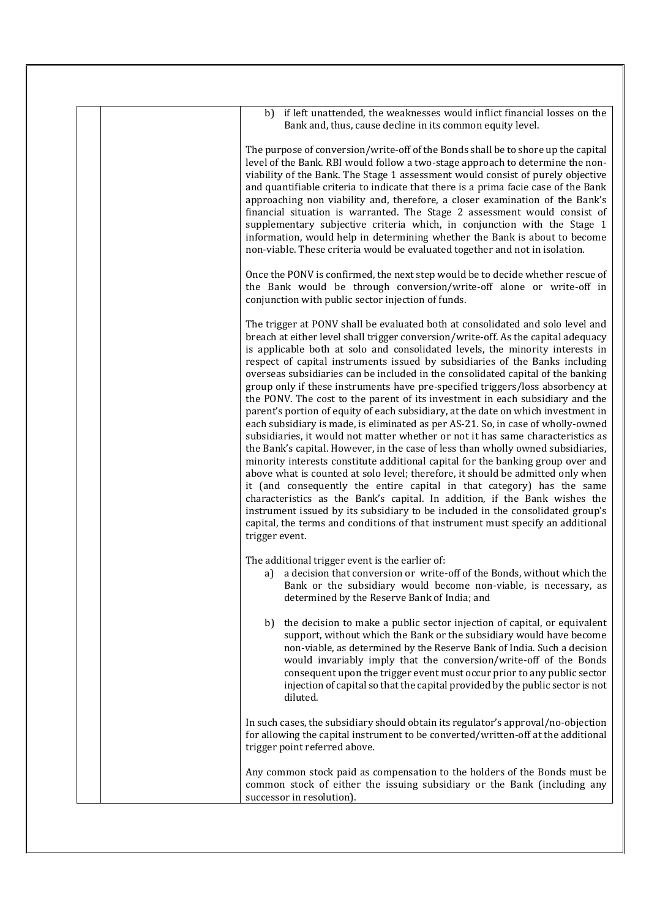| b) if left unattended, the weaknesses would inflict financial losses on the<br>Bank and, thus, cause decline in its common equity level.                                                                                                                                                                                                                                                                                                                                                                                                                                                                                                                                                                                                                                                                                                                                                                                                                                                                                                                                                                                                                                                                                                                                                                                                                                                                                                                          |
|-------------------------------------------------------------------------------------------------------------------------------------------------------------------------------------------------------------------------------------------------------------------------------------------------------------------------------------------------------------------------------------------------------------------------------------------------------------------------------------------------------------------------------------------------------------------------------------------------------------------------------------------------------------------------------------------------------------------------------------------------------------------------------------------------------------------------------------------------------------------------------------------------------------------------------------------------------------------------------------------------------------------------------------------------------------------------------------------------------------------------------------------------------------------------------------------------------------------------------------------------------------------------------------------------------------------------------------------------------------------------------------------------------------------------------------------------------------------|
| The purpose of conversion/write-off of the Bonds shall be to shore up the capital<br>level of the Bank. RBI would follow a two-stage approach to determine the non-<br>viability of the Bank. The Stage 1 assessment would consist of purely objective<br>and quantifiable criteria to indicate that there is a prima facie case of the Bank<br>approaching non viability and, therefore, a closer examination of the Bank's<br>financial situation is warranted. The Stage 2 assessment would consist of<br>supplementary subjective criteria which, in conjunction with the Stage 1<br>information, would help in determining whether the Bank is about to become<br>non-viable. These criteria would be evaluated together and not in isolation.                                                                                                                                                                                                                                                                                                                                                                                                                                                                                                                                                                                                                                                                                                               |
| Once the PONV is confirmed, the next step would be to decide whether rescue of<br>the Bank would be through conversion/write-off alone or write-off in<br>conjunction with public sector injection of funds.                                                                                                                                                                                                                                                                                                                                                                                                                                                                                                                                                                                                                                                                                                                                                                                                                                                                                                                                                                                                                                                                                                                                                                                                                                                      |
| The trigger at PONV shall be evaluated both at consolidated and solo level and<br>breach at either level shall trigger conversion/write-off. As the capital adequacy<br>is applicable both at solo and consolidated levels, the minority interests in<br>respect of capital instruments issued by subsidiaries of the Banks including<br>overseas subsidiaries can be included in the consolidated capital of the banking<br>group only if these instruments have pre-specified triggers/loss absorbency at<br>the PONV. The cost to the parent of its investment in each subsidiary and the<br>parent's portion of equity of each subsidiary, at the date on which investment in<br>each subsidiary is made, is eliminated as per AS-21. So, in case of wholly-owned<br>subsidiaries, it would not matter whether or not it has same characteristics as<br>the Bank's capital. However, in the case of less than wholly owned subsidiaries,<br>minority interests constitute additional capital for the banking group over and<br>above what is counted at solo level; therefore, it should be admitted only when<br>it (and consequently the entire capital in that category) has the same<br>characteristics as the Bank's capital. In addition, if the Bank wishes the<br>instrument issued by its subsidiary to be included in the consolidated group's<br>capital, the terms and conditions of that instrument must specify an additional<br>trigger event. |
| The additional trigger event is the earlier of:<br>a) a decision that conversion or write-off of the Bonds, without which the<br>Bank or the subsidiary would become non-viable, is necessary, as<br>determined by the Reserve Bank of India; and                                                                                                                                                                                                                                                                                                                                                                                                                                                                                                                                                                                                                                                                                                                                                                                                                                                                                                                                                                                                                                                                                                                                                                                                                 |
| the decision to make a public sector injection of capital, or equivalent<br>b)<br>support, without which the Bank or the subsidiary would have become<br>non-viable, as determined by the Reserve Bank of India. Such a decision<br>would invariably imply that the conversion/write-off of the Bonds<br>consequent upon the trigger event must occur prior to any public sector<br>injection of capital so that the capital provided by the public sector is not<br>diluted.                                                                                                                                                                                                                                                                                                                                                                                                                                                                                                                                                                                                                                                                                                                                                                                                                                                                                                                                                                                     |
| In such cases, the subsidiary should obtain its regulator's approval/no-objection<br>for allowing the capital instrument to be converted/written-off at the additional<br>trigger point referred above.                                                                                                                                                                                                                                                                                                                                                                                                                                                                                                                                                                                                                                                                                                                                                                                                                                                                                                                                                                                                                                                                                                                                                                                                                                                           |
| Any common stock paid as compensation to the holders of the Bonds must be<br>common stock of either the issuing subsidiary or the Bank (including any<br>successor in resolution).                                                                                                                                                                                                                                                                                                                                                                                                                                                                                                                                                                                                                                                                                                                                                                                                                                                                                                                                                                                                                                                                                                                                                                                                                                                                                |
|                                                                                                                                                                                                                                                                                                                                                                                                                                                                                                                                                                                                                                                                                                                                                                                                                                                                                                                                                                                                                                                                                                                                                                                                                                                                                                                                                                                                                                                                   |